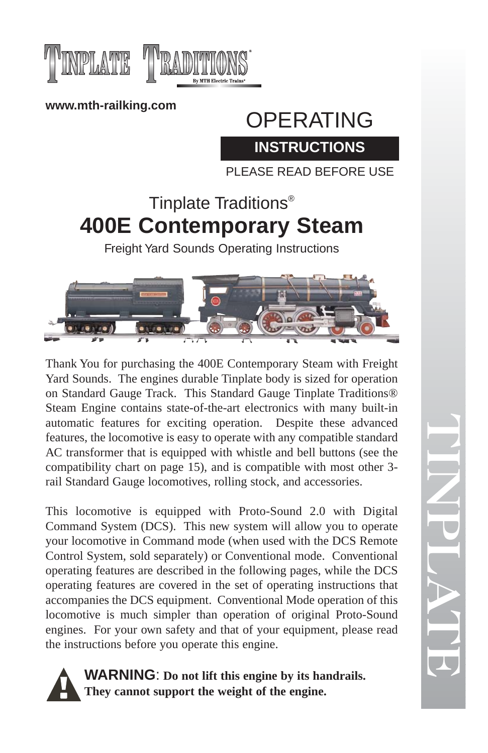



**www.mth-railking.com**

# OPERATING **INSTRUCTIONS**

PLEASE READ BEFORE USE

# Tinplate Traditions® **400E Contemporary Steam**

Freight Yard Sounds Operating Instructions



Thank You for purchasing the 400E Contemporary Steam with Freight Yard Sounds. The engines durable Tinplate body is sized for operation on Standard Gauge Track. This Standard Gauge Tinplate Traditions® Steam Engine contains state-of-the-art electronics with many built-in automatic features for exciting operation. Despite these advanced features, the locomotive is easy to operate with any compatible standard AC transformer that is equipped with whistle and bell buttons (see the compatibility chart on page 15), and is compatible with most other 3 rail Standard Gauge locomotives, rolling stock, and accessories.

This locomotive is equipped with Proto-Sound 2.0 with Digital Command System (DCS). This new system will allow you to operate your locomotive in Command mode (when used with the DCS Remote Control System, sold separately) or Conventional mode. Conventional operating features are described in the following pages, while the DCS operating features are covered in the set of operating instructions that accompanies the DCS equipment. Conventional Mode operation of this locomotive is much simpler than operation of original Proto-Sound engines. For your own safety and that of your equipment, please read the instructions before you operate this engine.



TINPLATE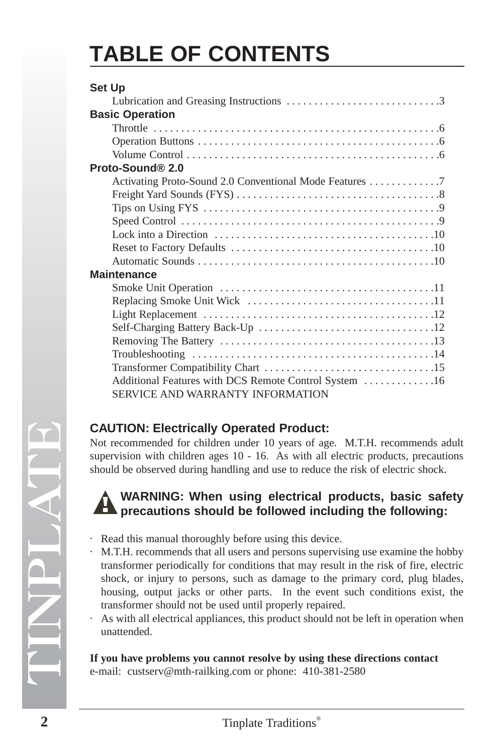# **TABLE OF CONTENTS**

| Set Up                                                                                            |  |
|---------------------------------------------------------------------------------------------------|--|
|                                                                                                   |  |
| <b>Basic Operation</b>                                                                            |  |
|                                                                                                   |  |
|                                                                                                   |  |
|                                                                                                   |  |
| Proto-Sound® 2.0                                                                                  |  |
| Activating Proto-Sound 2.0 Conventional Mode Features 7                                           |  |
|                                                                                                   |  |
| Tips on Using FYS $\dots \dots \dots \dots \dots \dots \dots \dots \dots \dots \dots \dots \dots$ |  |
|                                                                                                   |  |
|                                                                                                   |  |
|                                                                                                   |  |
|                                                                                                   |  |
| Maintenance                                                                                       |  |
|                                                                                                   |  |
|                                                                                                   |  |
|                                                                                                   |  |
|                                                                                                   |  |
|                                                                                                   |  |
|                                                                                                   |  |
|                                                                                                   |  |
| Additional Features with DCS Remote Control System 16                                             |  |
| SERVICE AND WARRANTY INFORMATION                                                                  |  |
|                                                                                                   |  |

## **CAUTION: Electrically Operated Product:**

Not recommended for children under 10 years of age. M.T.H. recommends adult supervision with children ages 10 - 16. As with all electric products, precautions should be observed during handling and use to reduce the risk of electric shock.

## **WARNING: When using electrical products, basic safety precautions should be followed including the following:**

- · Read this manual thoroughly before using this device.
- M.T.H. recommends that all users and persons supervising use examine the hobby transformer periodically for conditions that may result in the risk of fire, electric shock, or injury to persons, such as damage to the primary cord, plug blades, housing, output jacks or other parts. In the event such conditions exist, the transformer should not be used until properly repaired.
- As with all electrical appliances, this product should not be left in operation when unattended.

#### **If you have problems you cannot resolve by using these directions contact**

e-mail: custserv@mth-railking.com or phone: 410-381-2580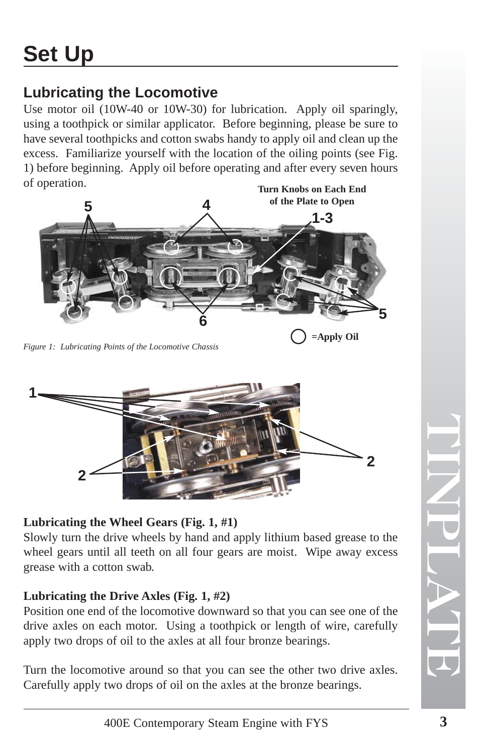# **Lubricating the Locomotive**

Use motor oil (10W-40 or 10W-30) for lubrication. Apply oil sparingly, using a toothpick or similar applicator. Before beginning, please be sure to have several toothpicks and cotton swabs handy to apply oil and clean up the excess. Familiarize yourself with the location of the oiling points (see Fig. 1) before beginning. Apply oil before operating and after every seven hours of operation.



*Figure 1: Lubricating Points of the Locomotive Chassis*



## **Lubricating the Wheel Gears (Fig. 1, #1)**

Slowly turn the drive wheels by hand and apply lithium based grease to the wheel gears until all teeth on all four gears are moist. Wipe away excess grease with a cotton swab.

## **Lubricating the Drive Axles (Fig. 1, #2)**

Position one end of the locomotive downward so that you can see one of the drive axles on each motor. Using a toothpick or length of wire, carefully apply two drops of oil to the axles at all four bronze bearings.

Turn the locomotive around so that you can see the other two drive axles. Carefully apply two drops of oil on the axles at the bronze bearings.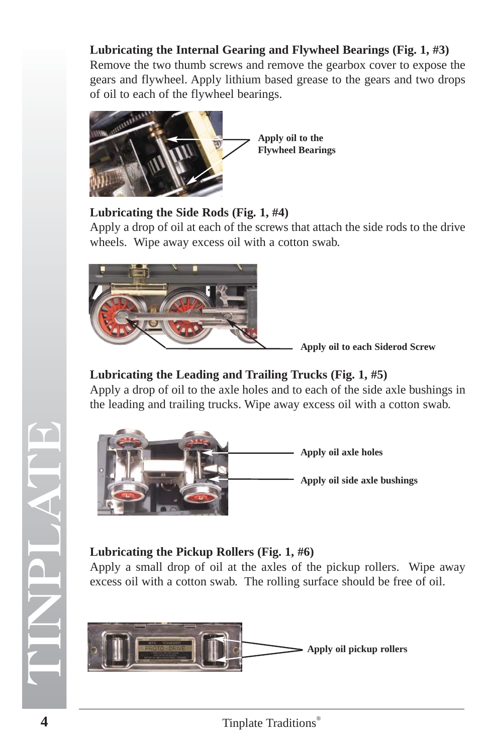## **Lubricating the Internal Gearing and Flywheel Bearings (Fig. 1, #3)**

Remove the two thumb screws and remove the gearbox cover to expose the gears and flywheel. Apply lithium based grease to the gears and two drops of oil to each of the flywheel bearings.



### **Lubricating the Side Rods (Fig. 1, #4)**

Apply a drop of oil at each of the screws that attach the side rods to the drive wheels. Wipe away excess oil with a cotton swab.



**Apply oil to each Siderod Screw**

## **Lubricating the Leading and Trailing Trucks (Fig. 1, #5)**

Apply a drop of oil to the axle holes and to each of the side axle bushings in the leading and trailing trucks. Wipe away excess oil with a cotton swab.



## **Lubricating the Pickup Rollers (Fig. 1, #6)**

Apply a small drop of oil at the axles of the pickup rollers. Wipe away excess oil with a cotton swab. The rolling surface should be free of oil.

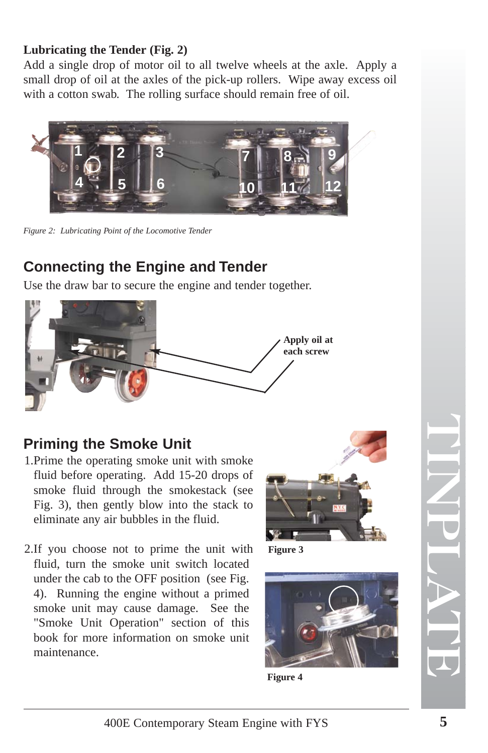## **Lubricating the Tender (Fig. 2)**

Add a single drop of motor oil to all twelve wheels at the axle. Apply a small drop of oil at the axles of the pick-up rollers. Wipe away excess oil with a cotton swab. The rolling surface should remain free of oil.



*Figure 2: Lubricating Point of the Locomotive Tender*

# **Connecting the Engine and Tender**

Use the draw bar to secure the engine and tender together.



## **Priming the Smoke Unit**

- 1.Prime the operating smoke unit with smoke fluid before operating. Add 15-20 drops of smoke fluid through the smokestack (see Fig. 3), then gently blow into the stack to eliminate any air bubbles in the fluid.
- 2.If you choose not to prime the unit with fluid, turn the smoke unit switch located under the cab to the OFF position (see Fig. 4). Running the engine without a primed smoke unit may cause damage. See the "Smoke Unit Operation" section of this book for more information on smoke unit maintenance.

![](_page_4_Picture_10.jpeg)

**Figure 3**

![](_page_4_Picture_12.jpeg)

**Figure 4**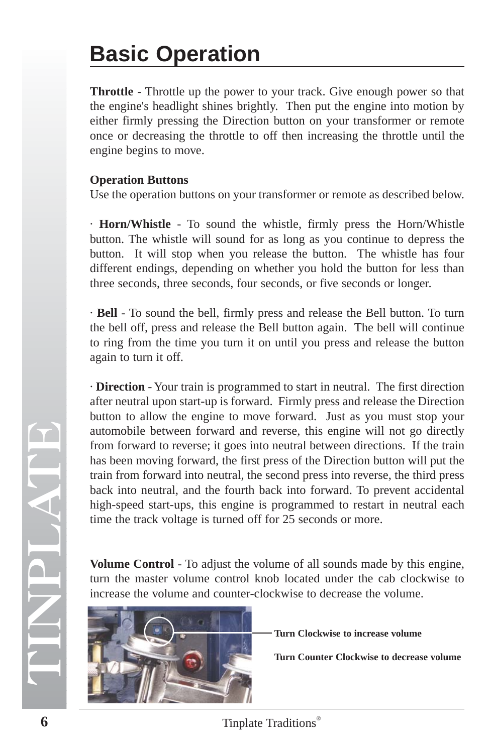# **Basic Operation**

**Throttle** - Throttle up the power to your track. Give enough power so that the engine's headlight shines brightly. Then put the engine into motion by either firmly pressing the Direction button on your transformer or remote once or decreasing the throttle to off then increasing the throttle until the engine begins to move.

#### **Operation Buttons**

Use the operation buttons on your transformer or remote as described below.

· **Horn/Whistle** - To sound the whistle, firmly press the Horn/Whistle button. The whistle will sound for as long as you continue to depress the button. It will stop when you release the button. The whistle has four different endings, depending on whether you hold the button for less than three seconds, three seconds, four seconds, or five seconds or longer.

· **Bell** - To sound the bell, firmly press and release the Bell button. To turn the bell off, press and release the Bell button again. The bell will continue to ring from the time you turn it on until you press and release the button again to turn it off.

· **Direction** - Your train is programmed to start in neutral. The first direction after neutral upon start-up is forward. Firmly press and release the Direction button to allow the engine to move forward. Just as you must stop your automobile between forward and reverse, this engine will not go directly from forward to reverse; it goes into neutral between directions. If the train has been moving forward, the first press of the Direction button will put the train from forward into neutral, the second press into reverse, the third press back into neutral, and the fourth back into forward. To prevent accidental high-speed start-ups, this engine is programmed to restart in neutral each time the track voltage is turned off for 25 seconds or more.

**Volume Control** - To adjust the volume of all sounds made by this engine, turn the master volume control knob located under the cab clockwise to increase the volume and counter-clockwise to decrease the volume.

![](_page_5_Picture_8.jpeg)

**Turn Clockwise to increase volume**

**Turn Counter Clockwise to decrease volume**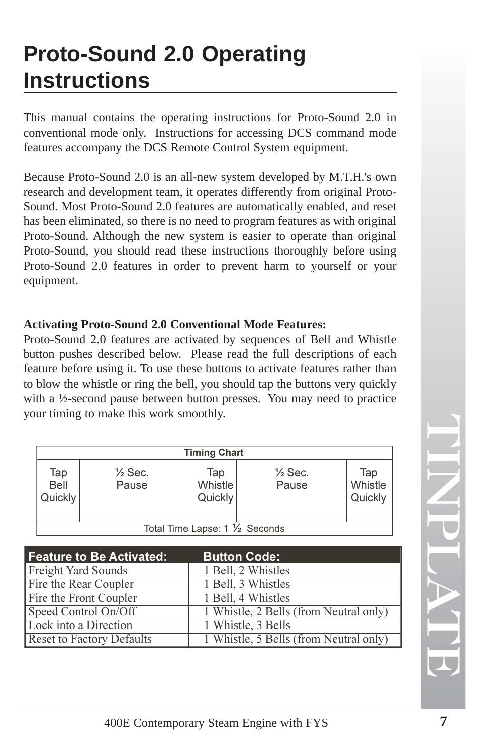# **Proto-Sound 2.0 Operating Instructions**

This manual contains the operating instructions for Proto-Sound 2.0 in conventional mode only. Instructions for accessing DCS command mode features accompany the DCS Remote Control System equipment.

Because Proto-Sound 2.0 is an all-new system developed by M.T.H.'s own research and development team, it operates differently from original Proto-Sound. Most Proto-Sound 2.0 features are automatically enabled, and reset has been eliminated, so there is no need to program features as with original Proto-Sound. Although the new system is easier to operate than original Proto-Sound, you should read these instructions thoroughly before using Proto-Sound 2.0 features in order to prevent harm to yourself or your equipment.

## **Activating Proto-Sound 2.0 Conventional Mode Features:**

Proto-Sound 2.0 features are activated by sequences of Bell and Whistle button pushes described below. Please read the full descriptions of each feature before using it. To use these buttons to activate features rather than to blow the whistle or ring the bell, you should tap the buttons very quickly with a ½-second pause between button presses. You may need to practice your timing to make this work smoothly.

|                                          |                             | <b>Timing Chart</b>       |                             |                           |
|------------------------------------------|-----------------------------|---------------------------|-----------------------------|---------------------------|
| Tap<br>Bell<br>Quickly                   | $\frac{1}{2}$ Sec.<br>Pause | Tap<br>Whistle<br>Quickly | $\frac{1}{2}$ Sec.<br>Pause | Tap<br>Whistle<br>Quickly |
| Total Time Lapse: $1\frac{1}{2}$ Seconds |                             |                           |                             |                           |

| <b>Feature to Be Activated:</b>  | <b>Button Code:</b>                    |
|----------------------------------|----------------------------------------|
| <b>Freight Yard Sounds</b>       | 1 Bell, 2 Whistles                     |
| Fire the Rear Coupler            | 1 Bell, 3 Whistles                     |
| Fire the Front Coupler           | 1 Bell, 4 Whistles                     |
| Speed Control On/Off             | 1 Whistle, 2 Bells (from Neutral only) |
| Lock into a Direction            | 1 Whistle, 3 Bells                     |
| <b>Reset to Factory Defaults</b> | 1 Whistle, 5 Bells (from Neutral only) |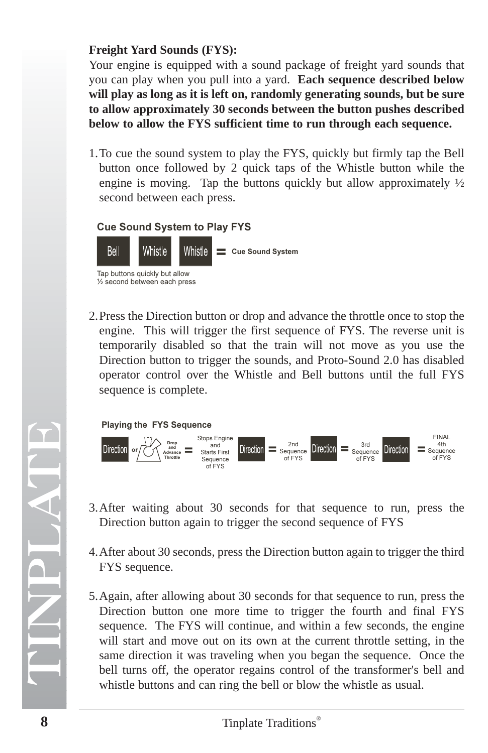#### **Freight Yard Sounds (FYS):**

Your engine is equipped with a sound package of freight yard sounds that you can play when you pull into a yard. **Each sequence described below will play as long as it is left on, randomly generating sounds, but be sure to allow approximately 30 seconds between the button pushes described below to allow the FYS sufficient time to run through each sequence.**

1.To cue the sound system to play the FYS, quickly but firmly tap the Bell button once followed by 2 quick taps of the Whistle button while the engine is moving. Tap the buttons quickly but allow approximately  $\frac{1}{2}$ second between each press.

#### Cue Sound System to Play FYS

![](_page_7_Figure_4.jpeg)

2.Press the Direction button or drop and advance the throttle once to stop the engine. This will trigger the first sequence of FYS. The reverse unit is temporarily disabled so that the train will not move as you use the Direction button to trigger the sounds, and Proto-Sound 2.0 has disabled operator control over the Whistle and Bell buttons until the full FYS sequence is complete.

![](_page_7_Figure_6.jpeg)

![](_page_7_Figure_7.jpeg)

- 3.After waiting about 30 seconds for that sequence to run, press the Direction button again to trigger the second sequence of FYS
- 4.After about 30 seconds, press the Direction button again to trigger the third FYS sequence.
- 5.Again, after allowing about 30 seconds for that sequence to run, press the Direction button one more time to trigger the fourth and final FYS sequence. The FYS will continue, and within a few seconds, the engine will start and move out on its own at the current throttle setting, in the same direction it was traveling when you began the sequence. Once the bell turns off, the operator regains control of the transformer's bell and whistle buttons and can ring the bell or blow the whistle as usual.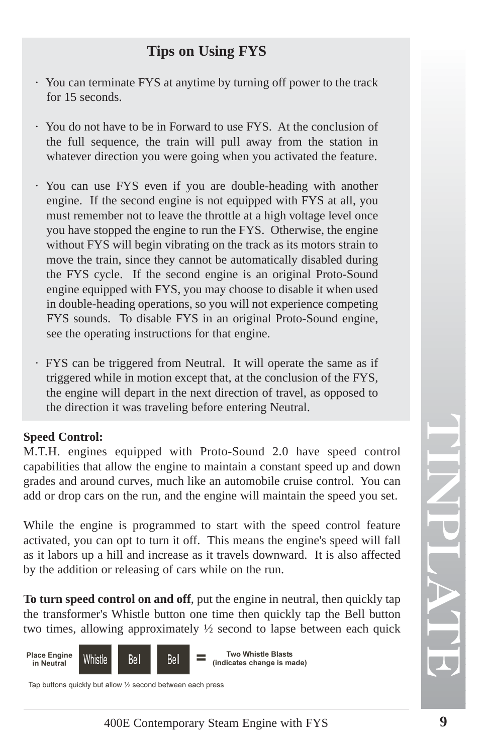## **Tips on Using FYS**

- · You can terminate FYS at anytime by turning off power to the track for 15 seconds.
- · You do not have to be in Forward to use FYS. At the conclusion of the full sequence, the train will pull away from the station in whatever direction you were going when you activated the feature.
- · You can use FYS even if you are double-heading with another engine. If the second engine is not equipped with FYS at all, you must remember not to leave the throttle at a high voltage level once you have stopped the engine to run the FYS. Otherwise, the engine without FYS will begin vibrating on the track as its motors strain to move the train, since they cannot be automatically disabled during the FYS cycle. If the second engine is an original Proto-Sound engine equipped with FYS, you may choose to disable it when used in double-heading operations, so you will not experience competing FYS sounds. To disable FYS in an original Proto-Sound engine, see the operating instructions for that engine.
- · FYS can be triggered from Neutral. It will operate the same as if triggered while in motion except that, at the conclusion of the FYS, the engine will depart in the next direction of travel, as opposed to the direction it was traveling before entering Neutral.

## **Speed Control:**

M.T.H. engines equipped with Proto-Sound 2.0 have speed control capabilities that allow the engine to maintain a constant speed up and down grades and around curves, much like an automobile cruise control. You can add or drop cars on the run, and the engine will maintain the speed you set.

While the engine is programmed to start with the speed control feature activated, you can opt to turn it off. This means the engine's speed will fall as it labors up a hill and increase as it travels downward. It is also affected by the addition or releasing of cars while on the run.

**To turn speed control on and off**, put the engine in neutral, then quickly tap the transformer's Whistle button one time then quickly tap the Bell button two times, allowing approximately ½ second to lapse between each quick

![](_page_8_Figure_9.jpeg)

Tap buttons quickly but allow ½ second between each press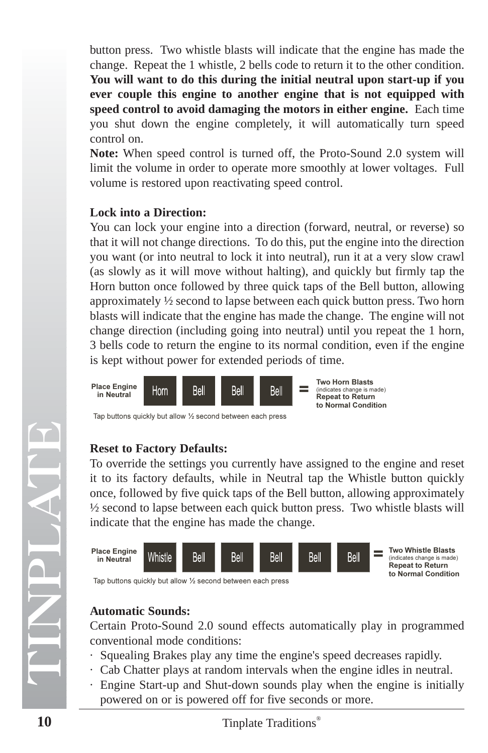button press. Two whistle blasts will indicate that the engine has made the change. Repeat the 1 whistle, 2 bells code to return it to the other condition. **You will want to do this during the initial neutral upon start-up if you ever couple this engine to another engine that is not equipped with speed control to avoid damaging the motors in either engine.** Each time you shut down the engine completely, it will automatically turn speed control on.

**Note:** When speed control is turned off, the Proto-Sound 2.0 system will limit the volume in order to operate more smoothly at lower voltages. Full volume is restored upon reactivating speed control.

### **Lock into a Direction:**

You can lock your engine into a direction (forward, neutral, or reverse) so that it will not change directions. To do this, put the engine into the direction you want (or into neutral to lock it into neutral), run it at a very slow crawl (as slowly as it will move without halting), and quickly but firmly tap the Horn button once followed by three quick taps of the Bell button, allowing approximately ½ second to lapse between each quick button press. Two horn blasts will indicate that the engine has made the change. The engine will not change direction (including going into neutral) until you repeat the 1 horn, 3 bells code to return the engine to its normal condition, even if the engine is kept without power for extended periods of time.

![](_page_9_Figure_4.jpeg)

## **Reset to Factory Defaults:**

To override the settings you currently have assigned to the engine and reset it to its factory defaults, while in Neutral tap the Whistle button quickly once, followed by five quick taps of the Bell button, allowing approximately ½ second to lapse between each quick button press. Two whistle blasts will indicate that the engine has made the change.

![](_page_9_Figure_7.jpeg)

Tap buttons quickly but allow ½ second between each press

## **Automatic Sounds:**

Certain Proto-Sound 2.0 sound effects automatically play in programmed conventional mode conditions:

- · Squealing Brakes play any time the engine's speed decreases rapidly.
- · Cab Chatter plays at random intervals when the engine idles in neutral.
- · Engine Start-up and Shut-down sounds play when the engine is initially powered on or is powered off for five seconds or more.

TINPLATE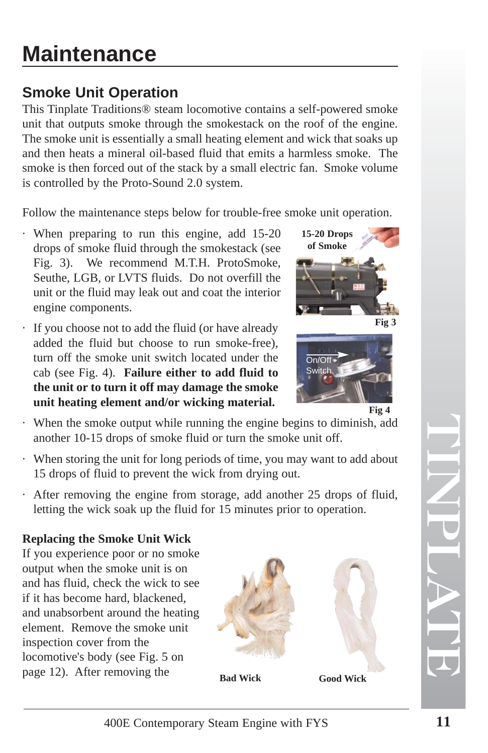# **Maintenance**

# **Smoke Unit Operation**

This Tinplate Traditions® steam locomotive contains a self-powered smoke unit that outputs smoke through the smokestack on the roof of the engine. The smoke unit is essentially a small heating element and wick that soaks up and then heats a mineral oil-based fluid that emits a harmless smoke. The smoke is then forced out of the stack by a small electric fan. Smoke volume is controlled by the Proto-Sound 2.0 system.

Follow the maintenance steps below for trouble-free smoke unit operation.

- · When preparing to run this engine, add 15-20 drops of smoke fluid through the smokestack (see Fig. 3). We recommend M.T.H. ProtoSmoke, Seuthe, LGB, or LVTS fluids. Do not overfill the unit or the fluid may leak out and coat the interior engine components.
- · If you choose not to add the fluid (or have already added the fluid but choose to run smoke-free), turn off the smoke unit switch located under the cab (see Fig. 4). **Failure either to add fluid to the unit or to turn it off may damage the smoke unit heating element and/or wicking material.**

![](_page_10_Picture_6.jpeg)

![](_page_10_Picture_7.jpeg)

· When the smoke output while running the engine begins to diminish, add another 10-15 drops of smoke fluid or turn the smoke unit off.

- · When storing the unit for long periods of time, you may want to add about 15 drops of fluid to prevent the wick from drying out.
- · After removing the engine from storage, add another 25 drops of fluid, letting the wick soak up the fluid for 15 minutes prior to operation.

## **Replacing the Smoke Unit Wick**

If you experience poor or no smoke output when the smoke unit is on and has fluid, check the wick to see if it has become hard, blackened, and unabsorbent around the heating element. Remove the smoke unit inspection cover from the locomotive's body (see Fig. 5 on page 12). After removing the

![](_page_10_Picture_13.jpeg)

**Bad Wick Good Wick**

![](_page_10_Picture_15.jpeg)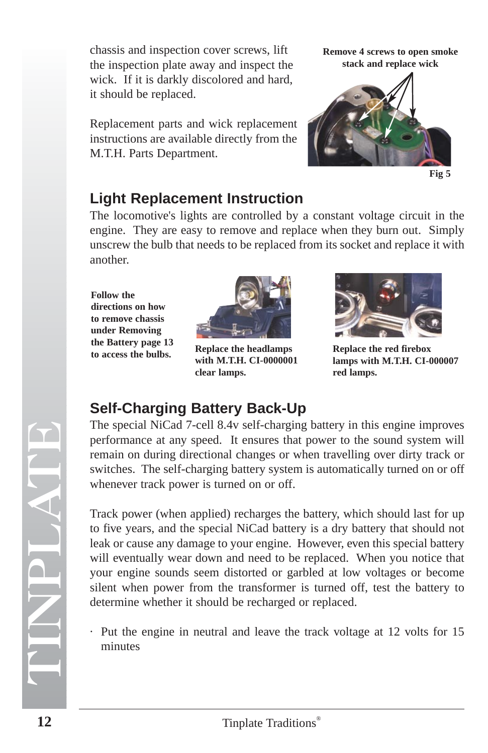chassis and inspection cover screws, lift the inspection plate away and inspect the wick. If it is darkly discolored and hard, it should be replaced.

Replacement parts and wick replacement instructions are available directly from the M.T.H. Parts Department.

**Remove 4 screws to open smoke stack and replace wick**

![](_page_11_Picture_3.jpeg)

![](_page_11_Figure_4.jpeg)

## **Light Replacement Instruction**

The locomotive's lights are controlled by a constant voltage circuit in the engine. They are easy to remove and replace when they burn out. Simply unscrew the bulb that needs to be replaced from its socket and replace it with another.

**Follow the directions on how to remove chassis under Removing the Battery page 13 to access the bulbs.**

![](_page_11_Picture_8.jpeg)

**Replace the headlamps with M.T.H. CI-0000001 clear lamps.**

![](_page_11_Picture_10.jpeg)

**Replace the red firebox lamps with M.T.H. CI-000007 red lamps.**

## **Self-Charging Battery Back-Up**

The special NiCad 7-cell 8.4v self-charging battery in this engine improves performance at any speed. It ensures that power to the sound system will remain on during directional changes or when travelling over dirty track or switches. The self-charging battery system is automatically turned on or off whenever track power is turned on or off.

Track power (when applied) recharges the battery, which should last for up to five years, and the special NiCad battery is a dry battery that should not leak or cause any damage to your engine. However, even this special battery will eventually wear down and need to be replaced. When you notice that your engine sounds seem distorted or garbled at low voltages or become silent when power from the transformer is turned off, test the battery to determine whether it should be recharged or replaced.

· Put the engine in neutral and leave the track voltage at 12 volts for 15 minutes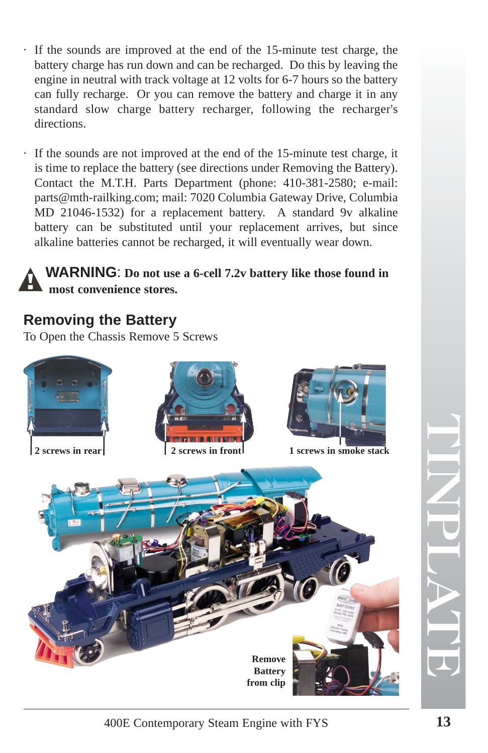- · If the sounds are improved at the end of the 15-minute test charge, the battery charge has run down and can be recharged. Do this by leaving the engine in neutral with track voltage at 12 volts for 6-7 hours so the battery can fully recharge. Or you can remove the battery and charge it in any standard slow charge battery recharger, following the recharger's directions.
- · If the sounds are not improved at the end of the 15-minute test charge, it is time to replace the battery (see directions under Removing the Battery). Contact the M.T.H. Parts Department (phone: 410-381-2580; e-mail: parts@mth-railking.com; mail: 7020 Columbia Gateway Drive, Columbia MD 21046-1532) for a replacement battery. A standard 9v alkaline battery can be substituted until your replacement arrives, but since alkaline batteries cannot be recharged, it will eventually wear down.

## **WARNING** : **Do not use a 6-cell 7.2v battery like those found in most convenience stores.**

## **Removing the Battery**

To Open the Chassis Remove 5 Screws

![](_page_12_Picture_5.jpeg)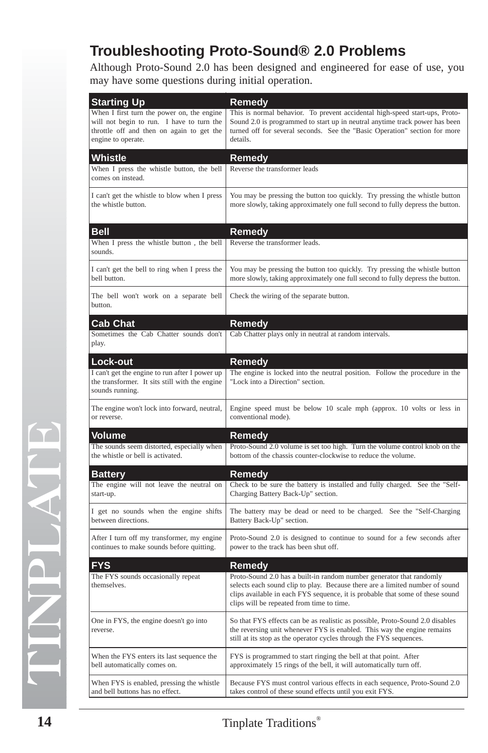## **Troubleshooting Proto-Sound® 2.0 Problems**

Although Proto-Sound 2.0 has been designed and engineered for ease of use, you may have some questions during initial operation.

| <b>Starting Up</b>                                                                                                                                         | Remedy                                                                                                                                                                                                                                                                             |
|------------------------------------------------------------------------------------------------------------------------------------------------------------|------------------------------------------------------------------------------------------------------------------------------------------------------------------------------------------------------------------------------------------------------------------------------------|
| When I first turn the power on, the engine<br>will not begin to run. I have to turn the<br>throttle off and then on again to get the<br>engine to operate. | This is normal behavior. To prevent accidental high-speed start-ups, Proto-<br>Sound 2.0 is programmed to start up in neutral anytime track power has been<br>turned off for several seconds. See the "Basic Operation" section for more<br>details.                               |
| Whistle                                                                                                                                                    | Remedy                                                                                                                                                                                                                                                                             |
| When I press the whistle button, the bell<br>comes on instead.                                                                                             | Reverse the transformer leads                                                                                                                                                                                                                                                      |
| I can't get the whistle to blow when I press<br>the whistle button.                                                                                        | You may be pressing the button too quickly. Try pressing the whistle button<br>more slowly, taking approximately one full second to fully depress the button.                                                                                                                      |
| Bell                                                                                                                                                       | Remedy                                                                                                                                                                                                                                                                             |
| When I press the whistle button, the bell<br>sounds.                                                                                                       | Reverse the transformer leads.                                                                                                                                                                                                                                                     |
| I can't get the bell to ring when I press the<br>bell button.                                                                                              | You may be pressing the button too quickly. Try pressing the whistle button<br>more slowly, taking approximately one full second to fully depress the button.                                                                                                                      |
| The bell won't work on a separate bell<br>button.                                                                                                          | Check the wiring of the separate button.                                                                                                                                                                                                                                           |
| Cab Chat                                                                                                                                                   | Remedy                                                                                                                                                                                                                                                                             |
| Sometimes the Cab Chatter sounds don't<br>play.                                                                                                            | Cab Chatter plays only in neutral at random intervals.                                                                                                                                                                                                                             |
| Lock-out                                                                                                                                                   | Remedy                                                                                                                                                                                                                                                                             |
| I can't get the engine to run after I power up<br>the transformer. It sits still with the engine<br>sounds running.                                        | The engine is locked into the neutral position. Follow the procedure in the<br>"Lock into a Direction" section.                                                                                                                                                                    |
| The engine won't lock into forward, neutral,<br>or reverse.                                                                                                | Engine speed must be below 10 scale mph (approx. 10 volts or less in<br>conventional mode).                                                                                                                                                                                        |
| Volume                                                                                                                                                     | Remedy                                                                                                                                                                                                                                                                             |
| The sounds seem distorted, especially when<br>the whistle or bell is activated.                                                                            | Proto-Sound 2.0 volume is set too high. Turn the volume control knob on the<br>bottom of the chassis counter-clockwise to reduce the volume.                                                                                                                                       |
| <b>Battery</b>                                                                                                                                             | Remedy                                                                                                                                                                                                                                                                             |
| The engine will not leave the neutral on<br>start-up.                                                                                                      | Check to be sure the battery is installed and fully charged. See the "Self-<br>Charging Battery Back-Up" section.                                                                                                                                                                  |
| I get no sounds when the engine shifts<br>between directions.                                                                                              | The battery may be dead or need to be charged. See the "Self-Charging<br>Battery Back-Up" section.                                                                                                                                                                                 |
| After I turn off my transformer, my engine<br>continues to make sounds before quitting.                                                                    | Proto-Sound 2.0 is designed to continue to sound for a few seconds after<br>power to the track has been shut off.                                                                                                                                                                  |
| FYS                                                                                                                                                        | Remedy                                                                                                                                                                                                                                                                             |
| The FYS sounds occasionally repeat<br>themselves.                                                                                                          | Proto-Sound 2.0 has a built-in random number generator that randomly<br>selects each sound clip to play. Because there are a limited number of sound<br>clips available in each FYS sequence, it is probable that some of these sound<br>clips will be repeated from time to time. |
| One in FYS, the engine doesn't go into<br>reverse.                                                                                                         | So that FYS effects can be as realistic as possible, Proto-Sound 2.0 disables<br>the reversing unit whenever FYS is enabled. This way the engine remains<br>still at its stop as the operator cycles through the FYS sequences.                                                    |
| When the FYS enters its last sequence the<br>bell automatically comes on.                                                                                  | FYS is programmed to start ringing the bell at that point. After<br>approximately 15 rings of the bell, it will automatically turn off.                                                                                                                                            |
| When FYS is enabled, pressing the whistle<br>and bell buttons has no effect.                                                                               | Because FYS must control various effects in each sequence, Proto-Sound 2.0<br>takes control of these sound effects until you exit FYS.                                                                                                                                             |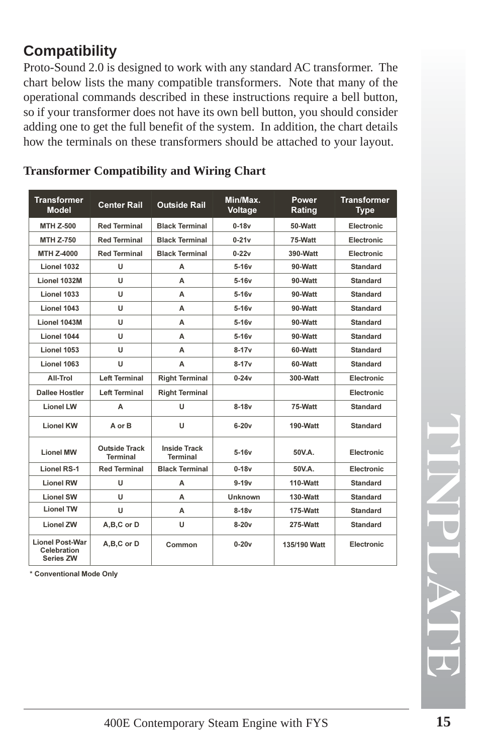## **Compatibility**

Proto-Sound 2.0 is designed to work with any standard AC transformer. The chart below lists the many compatible transformers. Note that many of the operational commands described in these instructions require a bell button, so if your transformer does not have its own bell button, you should consider adding one to get the full benefit of the system. In addition, the chart details how the terminals on these transformers should be attached to your layout.

| <b>Transformer</b><br><b>Model</b>                        | <b>Center Rail</b>                      | <b>Outside Rail</b>                    | Min/Max.<br>Voltage | Power<br>Rating | <b>Transformer</b><br><b>Type</b> |
|-----------------------------------------------------------|-----------------------------------------|----------------------------------------|---------------------|-----------------|-----------------------------------|
| <b>MTH Z-500</b>                                          | <b>Red Terminal</b>                     | <b>Black Terminal</b>                  | $0-18v$             | 50-Watt         | Electronic                        |
| <b>MTH Z-750</b>                                          | <b>Red Terminal</b>                     | <b>Black Terminal</b>                  | $0-21v$             | 75-Watt         | Electronic                        |
| MTH Z-4000                                                | <b>Red Terminal</b>                     | <b>Black Terminal</b>                  | $0-22v$             | 390-Watt        | Electronic                        |
| Lionel 1032                                               | U                                       | A                                      | $5-16v$             | 90-Watt         | <b>Standard</b>                   |
| Lionel 1032M                                              | U                                       | A                                      | $5-16v$             | 90-Watt         | <b>Standard</b>                   |
| Lionel 1033                                               | U                                       | A                                      | $5-16v$             | 90-Watt         | <b>Standard</b>                   |
| Lionel 1043                                               | U                                       | A                                      | $5-16v$             | 90-Watt         | <b>Standard</b>                   |
| Lionel 1043M                                              | U                                       | А                                      | $5-16v$             | 90-Watt         | <b>Standard</b>                   |
| Lionel 1044                                               | U                                       | A                                      | $5-16v$             | 90-Watt         | Standard                          |
| Lionel 1053                                               | U                                       | A                                      | $8 - 17v$           | 60-Watt         | <b>Standard</b>                   |
| Lionel 1063                                               | U                                       | A                                      | $8-17v$             | 60-Watt         | <b>Standard</b>                   |
| All-Trol                                                  | <b>Left Terminal</b>                    | <b>Right Terminal</b>                  | $0 - 24v$           | 300-Watt        | Electronic                        |
| <b>Dallee Hostler</b>                                     | <b>Left Terminal</b>                    | <b>Right Terminal</b>                  |                     |                 | Electronic                        |
| <b>Lionel LW</b>                                          | А                                       | U                                      | $8-18v$             | 75-Watt         | <b>Standard</b>                   |
| <b>Lionel KW</b>                                          | A or B                                  | U                                      | $6-20v$             | 190-Watt        | <b>Standard</b>                   |
| <b>Lionel MW</b>                                          | <b>Outside Track</b><br><b>Terminal</b> | <b>Inside Track</b><br><b>Terminal</b> | $5-16v$             | 50V.A.          | Electronic                        |
| <b>Lionel RS-1</b>                                        | <b>Red Terminal</b>                     | <b>Black Terminal</b>                  | $0-18v$             | 50V.A.          | Electronic                        |
| <b>Lionel RW</b>                                          | U                                       | A                                      | $9-19v$             | 110-Watt        | <b>Standard</b>                   |
| <b>Lionel SW</b>                                          | U                                       | Α                                      | <b>Unknown</b>      | 130-Watt        | <b>Standard</b>                   |
| <b>Lionel TW</b>                                          | U                                       | A                                      | $8-18v$             | 175-Watt        | <b>Standard</b>                   |
| <b>Lionel ZW</b>                                          | A,B,C or D                              | U                                      | $8-20v$             | 275-Watt        | <b>Standard</b>                   |
| <b>Lionel Post-War</b><br>Celebration<br><b>Series ZW</b> | A,B,C or D                              | Common                                 | $0 - 20v$           | 135/190 Watt    | Electronic                        |

## **Transformer Compatibility and Wiring Chart**

\* Conventional Mode Only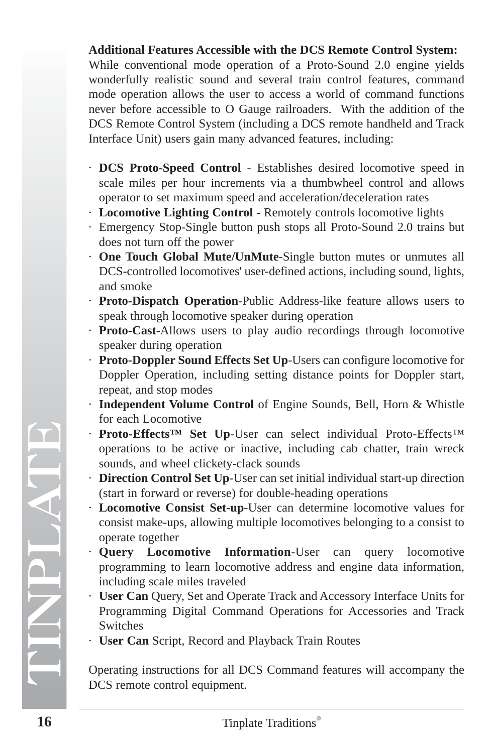## **Additional Features Accessible with the DCS Remote Control System:**

While conventional mode operation of a Proto-Sound 2.0 engine yields wonderfully realistic sound and several train control features, command mode operation allows the user to access a world of command functions never before accessible to O Gauge railroaders. With the addition of the DCS Remote Control System (including a DCS remote handheld and Track Interface Unit) users gain many advanced features, including:

- · **DCS Proto-Speed Control** Establishes desired locomotive speed in scale miles per hour increments via a thumbwheel control and allows operator to set maximum speed and acceleration/deceleration rates
- · **Locomotive Lighting Control** Remotely controls locomotive lights
- · Emergency Stop-Single button push stops all Proto-Sound 2.0 trains but does not turn off the power
- · **One Touch Global Mute/UnMute**-Single button mutes or unmutes all DCS-controlled locomotives' user-defined actions, including sound, lights, and smoke
- · **Proto-Dispatch Operation**-Public Address-like feature allows users to speak through locomotive speaker during operation
- · **Proto-Cast**-Allows users to play audio recordings through locomotive speaker during operation
- · **Proto-Doppler Sound Effects Set Up**-Users can configure locomotive for Doppler Operation, including setting distance points for Doppler start, repeat, and stop modes
- · **Independent Volume Control** of Engine Sounds, Bell, Horn & Whistle for each Locomotive
- · **Proto-Effects™ Set Up**-User can select individual Proto-Effects™ operations to be active or inactive, including cab chatter, train wreck sounds, and wheel clickety-clack sounds
- · **Direction Control Set Up**-User can set initial individual start-up direction (start in forward or reverse) for double-heading operations
- · **Locomotive Consist Set-up**-User can determine locomotive values for consist make-ups, allowing multiple locomotives belonging to a consist to operate together
- · **Query Locomotive Information**-User can query locomotive programming to learn locomotive address and engine data information, including scale miles traveled
- · **User Can** Query, Set and Operate Track and Accessory Interface Units for Programming Digital Command Operations for Accessories and Track Switches
- · **User Can** Script, Record and Playback Train Routes

Operating instructions for all DCS Command features will accompany the DCS remote control equipment.

TINPLATE

 $\left( \mathbf{\tau}\right)$ 

 $\overline{\phantom{0}}$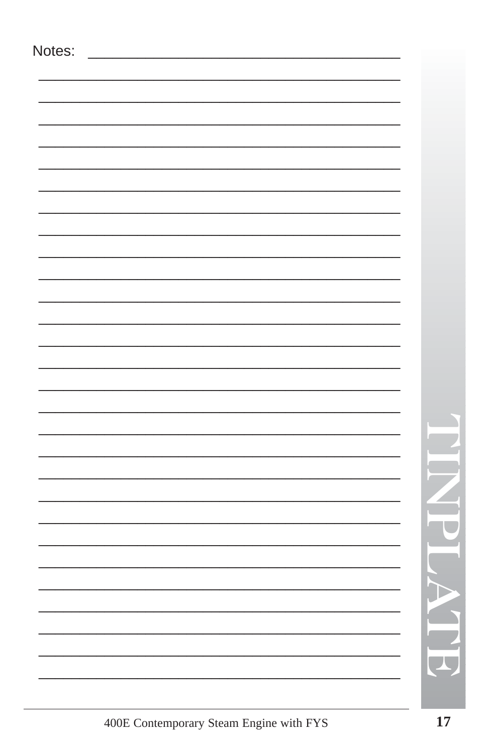| Notes: |                          |
|--------|--------------------------|
|        |                          |
|        |                          |
|        |                          |
|        |                          |
|        |                          |
|        |                          |
|        |                          |
|        |                          |
|        |                          |
|        |                          |
|        |                          |
|        |                          |
|        |                          |
|        |                          |
|        |                          |
|        |                          |
|        |                          |
|        |                          |
|        |                          |
|        |                          |
|        |                          |
|        | $\overline{\phantom{a}}$ |
|        |                          |